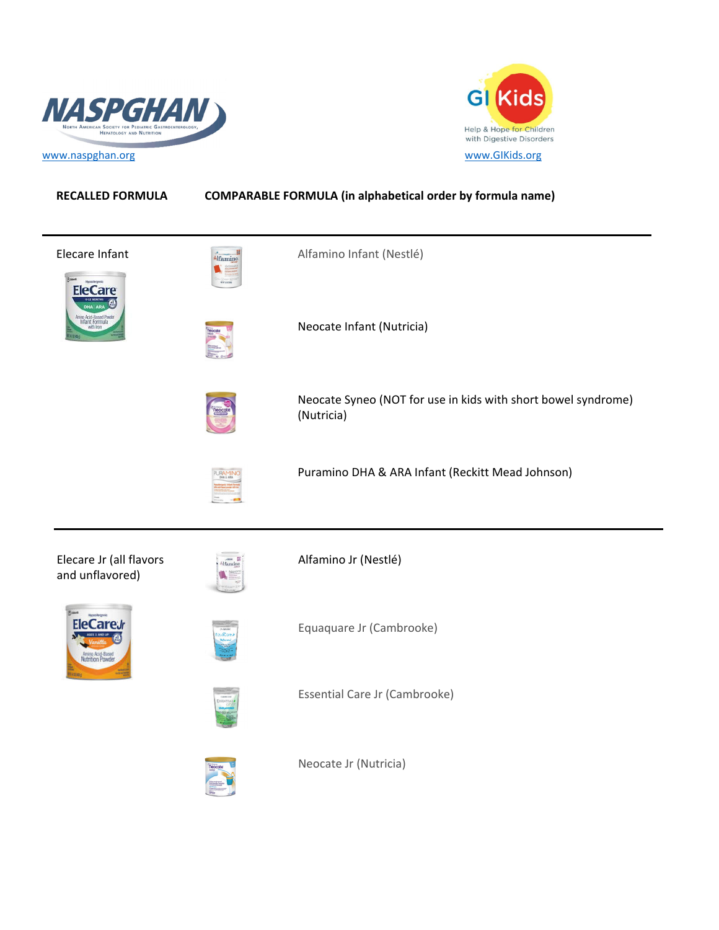



## **RECALLED FORMULA COMPARABLE FORMULA (in alphabetical order by formula name)**

| Elecare Infant<br>FleC ar                  | $\begin{picture}(20,10) \put(0,0){\line(1,0){10}} \put(15,0){\line(1,0){10}} \put(15,0){\line(1,0){10}} \put(15,0){\line(1,0){10}} \put(15,0){\line(1,0){10}} \put(15,0){\line(1,0){10}} \put(15,0){\line(1,0){10}} \put(15,0){\line(1,0){10}} \put(15,0){\line(1,0){10}} \put(15,0){\line(1,0){10}} \put(15,0){\line(1,0){10}} \put(15,0){\line(1$ | Alfamino Infant (Nestlé)                                                    |
|--------------------------------------------|-----------------------------------------------------------------------------------------------------------------------------------------------------------------------------------------------------------------------------------------------------------------------------------------------------------------------------------------------------|-----------------------------------------------------------------------------|
|                                            |                                                                                                                                                                                                                                                                                                                                                     | Neocate Infant (Nutricia)                                                   |
|                                            |                                                                                                                                                                                                                                                                                                                                                     | Neocate Syneo (NOT for use in kids with short bowel syndrome)<br>(Nutricia) |
|                                            |                                                                                                                                                                                                                                                                                                                                                     | Puramino DHA & ARA Infant (Reckitt Mead Johnson)                            |
| Elecare Jr (all flavors<br>and unflavored) | Alfamino                                                                                                                                                                                                                                                                                                                                            | Alfamino Jr (Nestlé)                                                        |
| Amino Acid-Based<br>Iutrition Powder       |                                                                                                                                                                                                                                                                                                                                                     | Equaquare Jr (Cambrooke)                                                    |
|                                            |                                                                                                                                                                                                                                                                                                                                                     | Essential Care Jr (Cambrooke)                                               |
|                                            |                                                                                                                                                                                                                                                                                                                                                     | Neocate Jr (Nutricia)                                                       |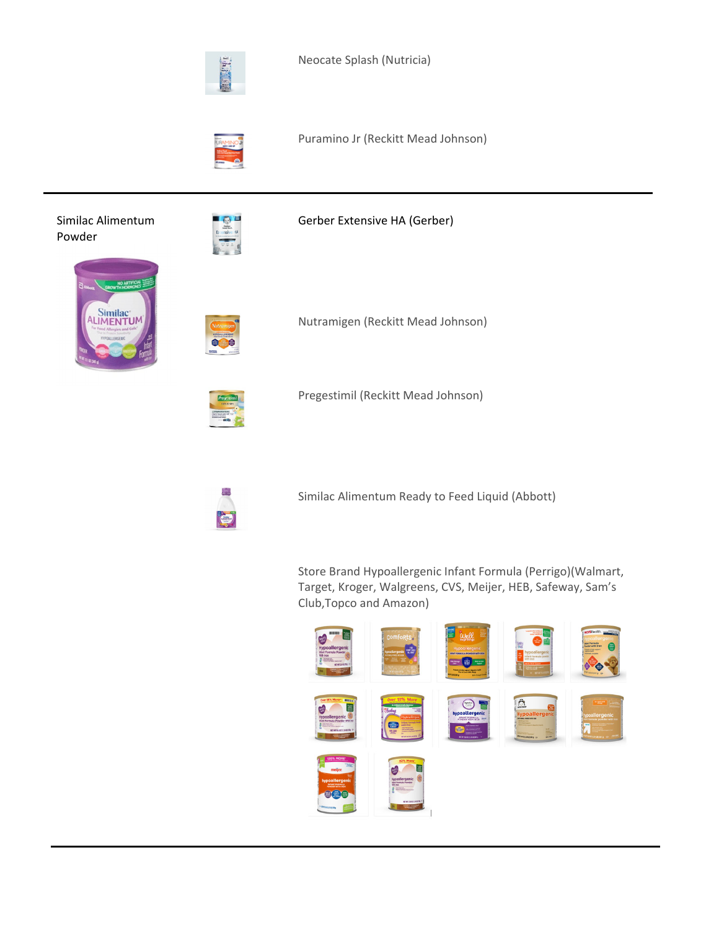

Neocate Splash (Nutricia)



Puramino Jr (Reckitt Mead Johnson)

Similac Alimentum Powder



Gerber Extensive HA (Gerber)





Nutramigen (Reckitt Mead Johnson)



Pregestimil (Reckitt Mead Johnson)



Similac Alimentum Ready to Feed Liquid (Abbott)

Store Brand Hypoallergenic Infant Formula (Perrigo)(Walmart, Target, Kroger, Walgreens, CVS, Meijer, HEB, Safeway, Sam's Club,Topco and Amazon)

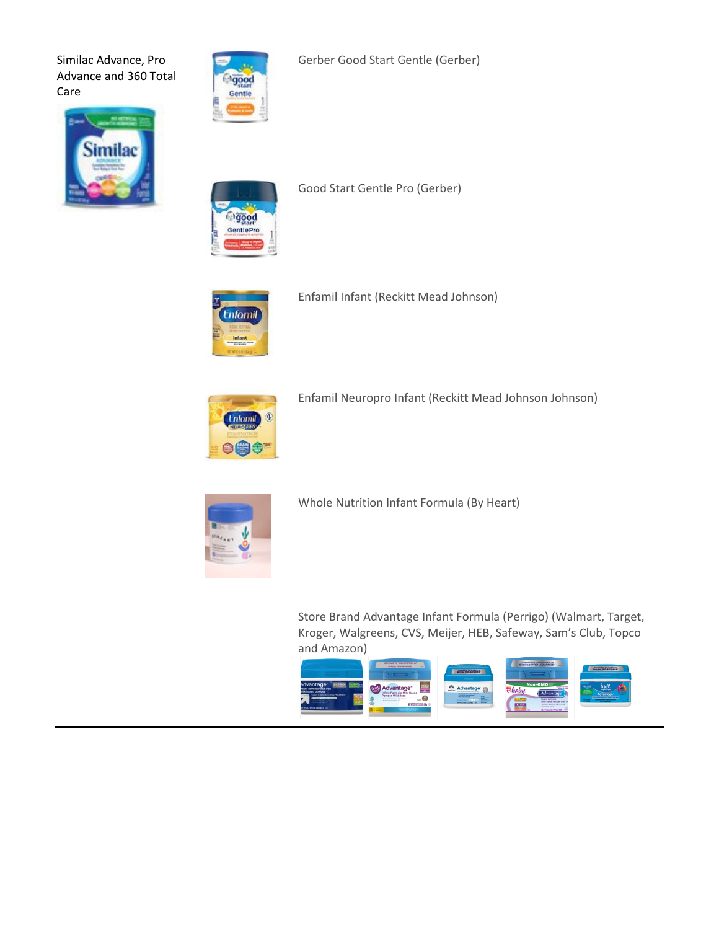Similac Advance, Pro Advance and 360 Total Care



Gerber Good Start Gentle (Gerber)





Good Start Gentle Pro (Gerber)



Enfamil Infant (Reckitt Mead Johnson)



Enfamil Neuropro Infant (Reckitt Mead Johnson Johnson)



Whole Nutrition Infant Formula (By Heart)

Store Brand Advantage Infant Formula (Perrigo) (Walmart, Target, Kroger, Walgreens, CVS, Meijer, HEB, Safeway, Sam's Club, Topco and Amazon)

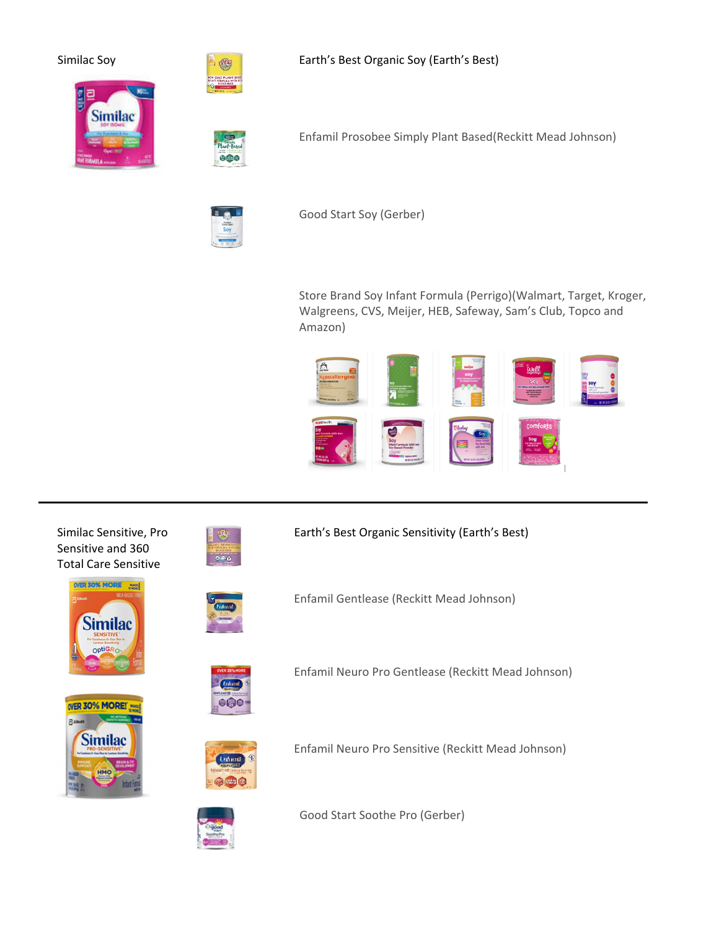Similac Soy **Earth's Best Organic Soy (Earth's Best)** 





Enfamil Prosobee Simply Plant Based(Reckitt Mead Johnson)



Good Start Soy (Gerber)

Store Brand Soy Infant Formula (Perrigo)(Walmart, Target, Kroger, Walgreens, CVS, Meijer, HEB, Safeway, Sam's Club, Topco and Amazon)



Similac Sensitive, Pro Sensitive and 360 Total Care Sensitive





Earth's Best Organic Sensitivity (Earth's Best)

Enfamil Gentlease (Reckitt Mead Johnson)



Enfamil Neuro Pro Gentlease (Reckitt Mead Johnson)







Enfamil Neuro Pro Sensitive (Reckitt Mead Johnson)

Good Start Soothe Pro (Gerber)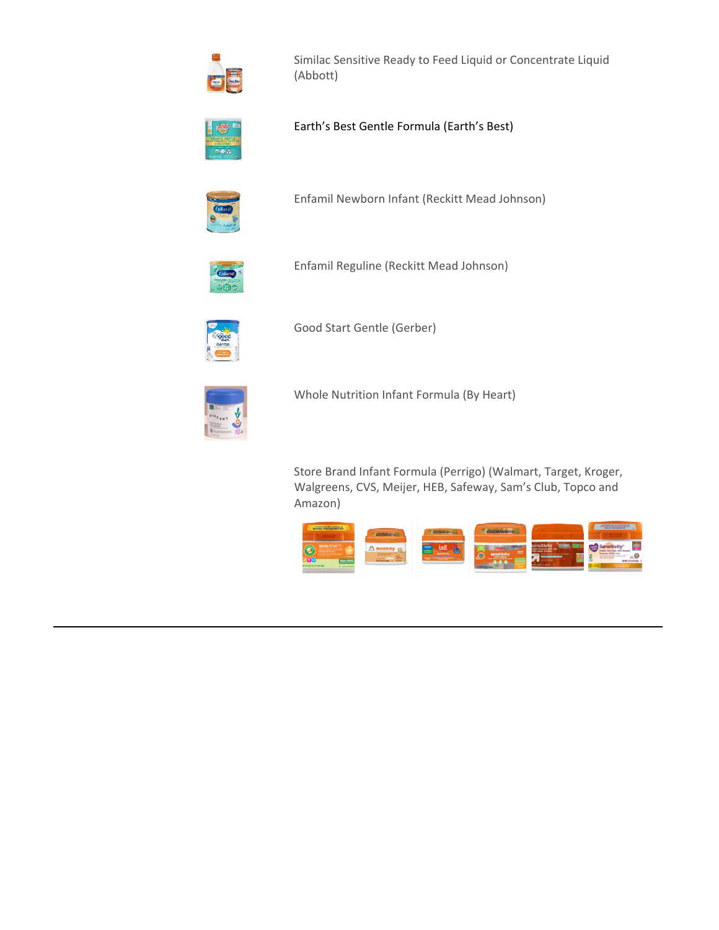

Similac Sensitive Ready to Feed Liquid or Concentrate Liquid (Abbott)



Earth's Best Gentle Formula (Earth's Best)



Enfamil Newborn Infant (Reckitt Mead Johnson)



Enfamil Reguline (Reckitt Mead Johnson)



Good Start Gentle (Gerber)



Whole Nutrition Infant Formula (By Heart)

Store Brand Infant Formula (Perrigo) (Walmart, Target, Kroger, Walgreens, CVS, Meijer, HEB, Safeway, Sam's Club, Topco and Amazon)

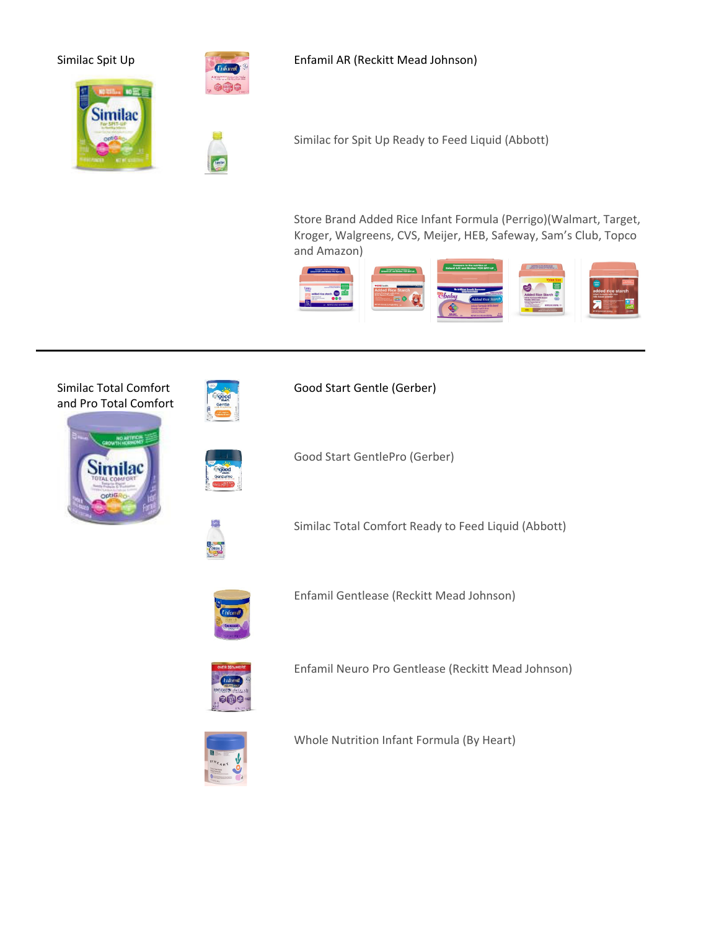

Similac Spit Up **Enfamil AR (Reckitt Mead Johnson)** 



Similac for Spit Up Ready to Feed Liquid (Abbott)

Store Brand Added Rice Infant Formula (Perrigo)(Walmart, Target, Kroger, Walgreens, CVS, Meijer, HEB, Safeway, Sam's Club, Topco and Amazon)



## Similac Total Comfort and Pro Total Comfort





Good Start Gentle (Gerber)

Good Start GentlePro (Gerber)



Similac Total Comfort Ready to Feed Liquid (Abbott)



Enfamil Gentlease (Reckitt Mead Johnson)



Enfamil Neuro Pro Gentlease (Reckitt Mead Johnson)



Whole Nutrition Infant Formula (By Heart)